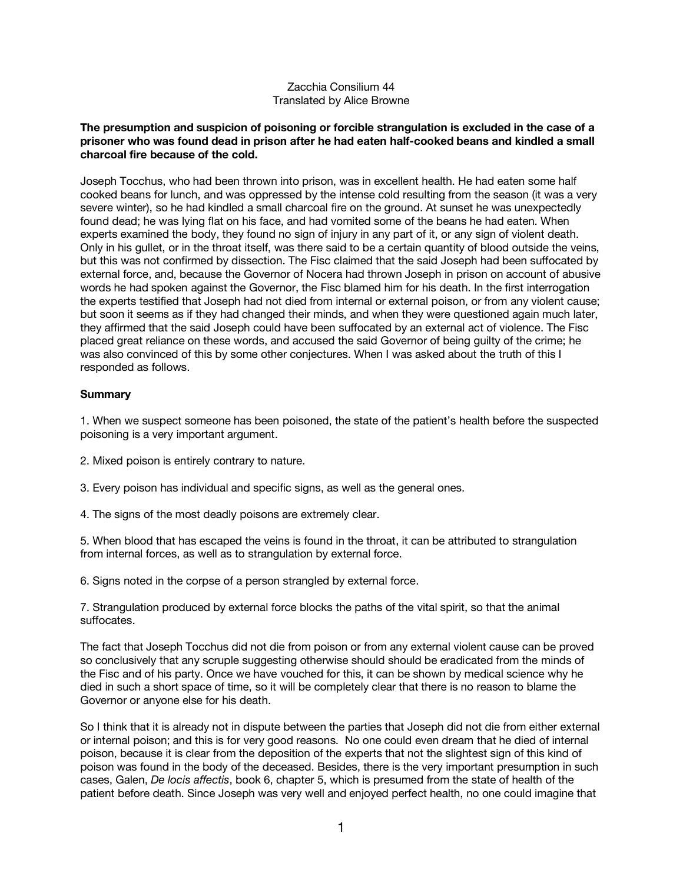## Zacchia Consilium 44 Translated by Alice Browne

## **The presumption and suspicion of poisoning or forcible strangulation is excluded in the case of a prisoner who was found dead in prison after he had eaten half-cooked beans and kindled a small charcoal fire because of the cold.**

Joseph Tocchus, who had been thrown into prison, was in excellent health. He had eaten some half cooked beans for lunch, and was oppressed by the intense cold resulting from the season (it was a very severe winter), so he had kindled a small charcoal fire on the ground. At sunset he was unexpectedly found dead; he was lying flat on his face, and had vomited some of the beans he had eaten. When experts examined the body, they found no sign of injury in any part of it, or any sign of violent death. Only in his gullet, or in the throat itself, was there said to be a certain quantity of blood outside the veins, but this was not confirmed by dissection. The Fisc claimed that the said Joseph had been suffocated by external force, and, because the Governor of Nocera had thrown Joseph in prison on account of abusive words he had spoken against the Governor, the Fisc blamed him for his death. In the first interrogation the experts testified that Joseph had not died from internal or external poison, or from any violent cause; but soon it seems as if they had changed their minds, and when they were questioned again much later, they affirmed that the said Joseph could have been suffocated by an external act of violence. The Fisc placed great reliance on these words, and accused the said Governor of being guilty of the crime; he was also convinced of this by some other conjectures. When I was asked about the truth of this I responded as follows.

## **Summary**

1. When we suspect someone has been poisoned, the state of the patient's health before the suspected poisoning is a very important argument.

- 2. Mixed poison is entirely contrary to nature.
- 3. Every poison has individual and specific signs, as well as the general ones.
- 4. The signs of the most deadly poisons are extremely clear.

5. When blood that has escaped the veins is found in the throat, it can be attributed to strangulation from internal forces, as well as to strangulation by external force.

6. Signs noted in the corpse of a person strangled by external force.

7. Strangulation produced by external force blocks the paths of the vital spirit, so that the animal suffocates.

The fact that Joseph Tocchus did not die from poison or from any external violent cause can be proved so conclusively that any scruple suggesting otherwise should should be eradicated from the minds of the Fisc and of his party. Once we have vouched for this, it can be shown by medical science why he died in such a short space of time, so it will be completely clear that there is no reason to blame the Governor or anyone else for his death.

So I think that it is already not in dispute between the parties that Joseph did not die from either external or internal poison; and this is for very good reasons. No one could even dream that he died of internal poison, because it is clear from the deposition of the experts that not the slightest sign of this kind of poison was found in the body of the deceased. Besides, there is the very important presumption in such cases, Galen, *De locis affectis*, book 6, chapter 5, which is presumed from the state of health of the patient before death. Since Joseph was very well and enjoyed perfect health, no one could imagine that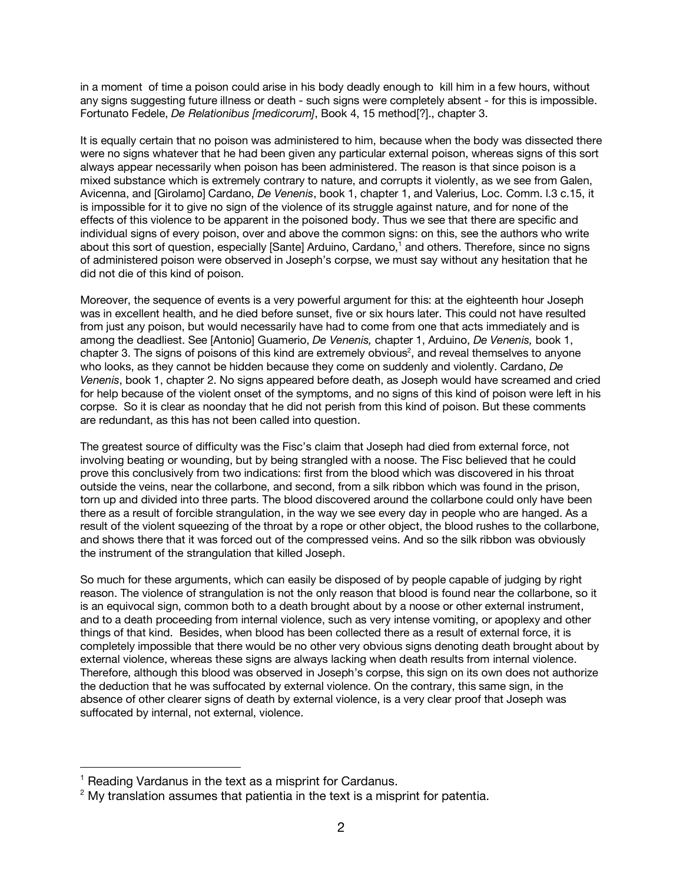in a moment of time a poison could arise in his body deadly enough to kill him in a few hours, without any signs suggesting future illness or death - such signs were completely absent - for this is impossible. Fortunato Fedele, *De Relationibus [medicorum]*, Book 4, 15 method[?]., chapter 3.

It is equally certain that no poison was administered to him, because when the body was dissected there were no signs whatever that he had been given any particular external poison, whereas signs of this sort always appear necessarily when poison has been administered. The reason is that since poison is a mixed substance which is extremely contrary to nature, and corrupts it violently, as we see from Galen, Avicenna, and [Girolamo] Cardano, *De Venenis*, book 1, chapter 1, and Valerius, Loc. Comm. l.3 c.15, it is impossible for it to give no sign of the violence of its struggle against nature, and for none of the effects of this violence to be apparent in the poisoned body. Thus we see that there are specific and individual signs of every poison, over and above the common signs: on this, see the authors who write about this sort of question, especially [Sante] Arduino, Cardano,<sup>1</sup> and others. Therefore, since no signs of administered poison were observed in Joseph's corpse, we must say without any hesitation that he did not die of this kind of poison.

Moreover, the sequence of events is a very powerful argument for this: at the eighteenth hour Joseph was in excellent health, and he died before sunset, five or six hours later. This could not have resulted from just any poison, but would necessarily have had to come from one that acts immediately and is among the deadliest. See [Antonio] Guamerio, *De Venenis,* chapter 1, Arduino, *De Venenis,* book 1, chapter 3. The signs of poisons of this kind are extremely obvious<sup>2</sup>, and reveal themselves to anyone who looks, as they cannot be hidden because they come on suddenly and violently. Cardano, *De Venenis*, book 1, chapter 2. No signs appeared before death, as Joseph would have screamed and cried for help because of the violent onset of the symptoms, and no signs of this kind of poison were left in his corpse. So it is clear as noonday that he did not perish from this kind of poison. But these comments are redundant, as this has not been called into question.

The greatest source of difficulty was the Fisc's claim that Joseph had died from external force, not involving beating or wounding, but by being strangled with a noose. The Fisc believed that he could prove this conclusively from two indications: first from the blood which was discovered in his throat outside the veins, near the collarbone, and second, from a silk ribbon which was found in the prison, torn up and divided into three parts. The blood discovered around the collarbone could only have been there as a result of forcible strangulation, in the way we see every day in people who are hanged. As a result of the violent squeezing of the throat by a rope or other object, the blood rushes to the collarbone, and shows there that it was forced out of the compressed veins. And so the silk ribbon was obviously the instrument of the strangulation that killed Joseph.

So much for these arguments, which can easily be disposed of by people capable of judging by right reason. The violence of strangulation is not the only reason that blood is found near the collarbone, so it is an equivocal sign, common both to a death brought about by a noose or other external instrument, and to a death proceeding from internal violence, such as very intense vomiting, or apoplexy and other things of that kind. Besides, when blood has been collected there as a result of external force, it is completely impossible that there would be no other very obvious signs denoting death brought about by external violence, whereas these signs are always lacking when death results from internal violence. Therefore, although this blood was observed in Joseph's corpse, this sign on its own does not authorize the deduction that he was suffocated by external violence. On the contrary, this same sign, in the absence of other clearer signs of death by external violence, is a very clear proof that Joseph was suffocated by internal, not external, violence.

<sup>&</sup>lt;sup>1</sup> Reading Vardanus in the text as a misprint for Cardanus.

 $2$  My translation assumes that patientia in the text is a misprint for patentia.